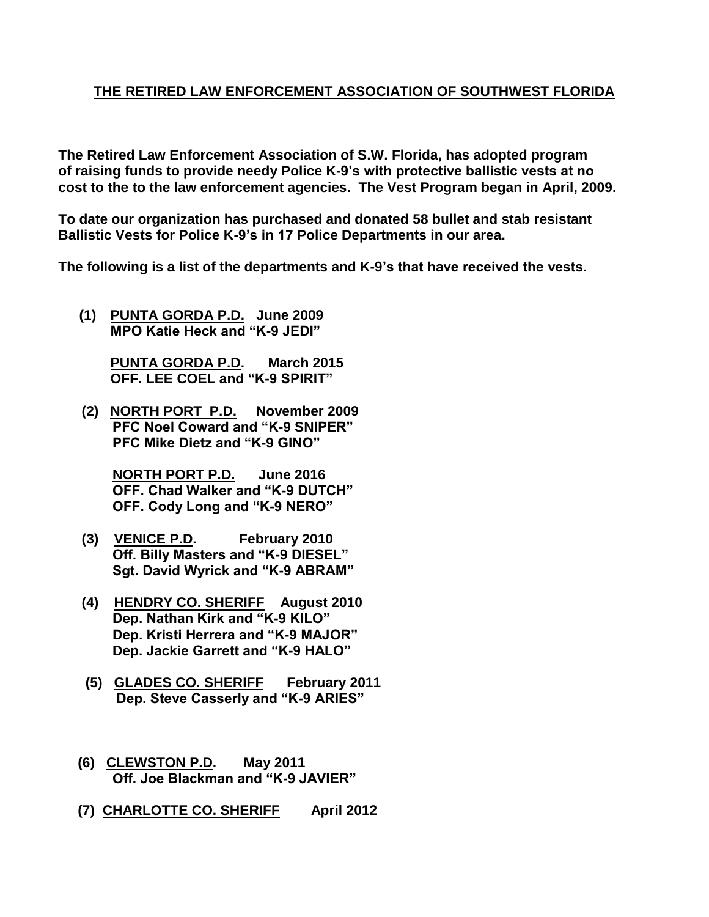## **THE RETIRED LAW ENFORCEMENT ASSOCIATION OF SOUTHWEST FLORIDA**

**The Retired Law Enforcement Association of S.W. Florida, has adopted program of raising funds to provide needy Police K-9's with protective ballistic vests at no cost to the to the law enforcement agencies. The Vest Program began in April, 2009.**

**To date our organization has purchased and donated 58 bullet and stab resistant Ballistic Vests for Police K-9's in 17 Police Departments in our area.**

**The following is a list of the departments and K-9's that have received the vests.**

**(1) PUNTA GORDA P.D. June 2009 MPO Katie Heck and "K-9 JEDI"**

> **PUNTA GORDA P.D. March 2015 OFF. LEE COEL and "K-9 SPIRIT"**

 **(2) NORTH PORT P.D. November 2009 PFC Noel Coward and "K-9 SNIPER" PFC Mike Dietz and "K-9 GINO"**

> **NORTH PORT P.D. June 2016 OFF. Chad Walker and "K-9 DUTCH" OFF. Cody Long and "K-9 NERO"**

- **(3) VENICE P.D. February 2010 Off. Billy Masters and "K-9 DIESEL" Sgt. David Wyrick and "K-9 ABRAM"**
- **(4) HENDRY CO. SHERIFF August 2010 Dep. Nathan Kirk and "K-9 KILO" Dep. Kristi Herrera and "K-9 MAJOR" Dep. Jackie Garrett and "K-9 HALO"**
- **(5) GLADES CO. SHERIFF February 2011 Dep. Steve Casserly and "K-9 ARIES"**
- **(6) CLEWSTON P.D. May 2011 Off. Joe Blackman and "K-9 JAVIER"**
- **(7) CHARLOTTE CO. SHERIFF April 2012**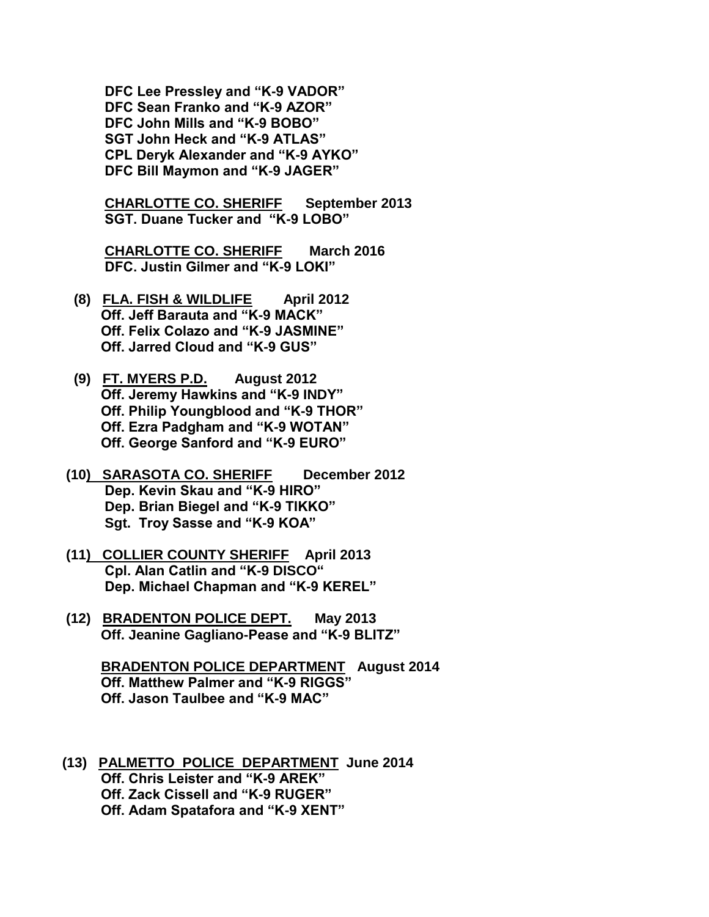**DFC Lee Pressley and "K-9 VADOR" DFC Sean Franko and "K-9 AZOR" DFC John Mills and "K-9 BOBO" SGT John Heck and "K-9 ATLAS" CPL Deryk Alexander and "K-9 AYKO" DFC Bill Maymon and "K-9 JAGER"**

 **CHARLOTTE CO. SHERIFF September 2013 SGT. Duane Tucker and "K-9 LOBO"**

 **CHARLOTTE CO. SHERIFF March 2016 DFC. Justin Gilmer and "K-9 LOKI"** 

- **(8) FLA. FISH & WILDLIFE April 2012 Off. Jeff Barauta and "K-9 MACK" Off. Felix Colazo and "K-9 JASMINE" Off. Jarred Cloud and "K-9 GUS"**
- **(9) FT. MYERS P.D. August 2012 Off. Jeremy Hawkins and "K-9 INDY" Off. Philip Youngblood and "K-9 THOR" Off. Ezra Padgham and "K-9 WOTAN" Off. George Sanford and "K-9 EURO"**
- **(10) SARASOTA CO. SHERIFF December 2012 Dep. Kevin Skau and "K-9 HIRO" Dep. Brian Biegel and "K-9 TIKKO" Sgt. Troy Sasse and "K-9 KOA"**
- **(11) COLLIER COUNTY SHERIFF April 2013 Cpl. Alan Catlin and "K-9 DISCO" Dep. Michael Chapman and "K-9 KEREL"**
- **(12) BRADENTON POLICE DEPT. May 2013 Off. Jeanine Gagliano-Pease and "K-9 BLITZ"**

 **BRADENTON POLICE DEPARTMENT August 2014 Off. Matthew Palmer and "K-9 RIGGS" Off. Jason Taulbee and "K-9 MAC"**

**(13) PALMETTO POLICE DEPARTMENT June 2014 Off. Chris Leister and "K-9 AREK" Off. Zack Cissell and "K-9 RUGER" Off. Adam Spatafora and "K-9 XENT"**